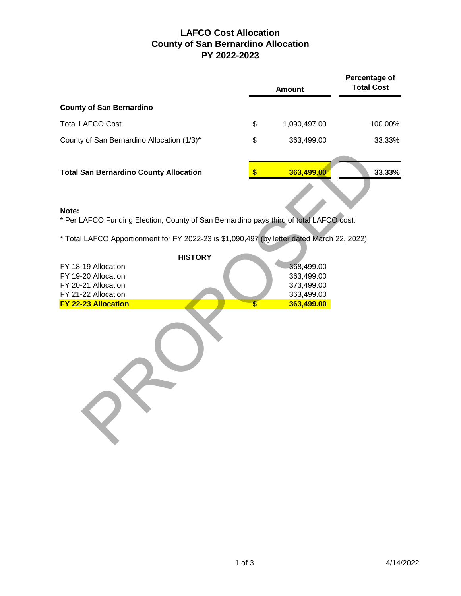## **LAFCO Cost Allocation County of San Bernardino Allocation PY 2022-2023**

|                                               | <b>Amount</b>      | Percentage of<br><b>Total Cost</b> |  |
|-----------------------------------------------|--------------------|------------------------------------|--|
| <b>County of San Bernardino</b>               |                    |                                    |  |
| <b>Total LAFCO Cost</b>                       | \$<br>1,090,497.00 | 100.00%                            |  |
| County of San Bernardino Allocation (1/3)*    | \$<br>363,499.00   | 33.33%                             |  |
| <b>Total San Bernardino County Allocation</b> | 363,499.00         | 33.33%                             |  |

## **Note:**

| <b>Total San Bernardino County Allocation</b>                                                   | \$<br>363,499.00               | 3 |
|-------------------------------------------------------------------------------------------------|--------------------------------|---|
|                                                                                                 |                                |   |
| Note:<br>* Per LAFCO Funding Election, County of San Bernardino pays third of total LAFCO cost. |                                |   |
| * Total LAFCO Apportionment for FY 2022-23 is \$1,090,497 (by letter dated March 22, 2022)      |                                |   |
| <b>HISTORY</b>                                                                                  |                                |   |
| FY 18-19 Allocation                                                                             | 368,499.00                     |   |
| FY 19-20 Allocation                                                                             | 363,499.00                     |   |
| FY 20-21 Allocation                                                                             | 373,499.00                     |   |
| FY 21-22 Allocation<br>FY 22-23 Allocation                                                      | \$<br>363,499.00<br>363,499.00 |   |
|                                                                                                 |                                |   |
|                                                                                                 |                                |   |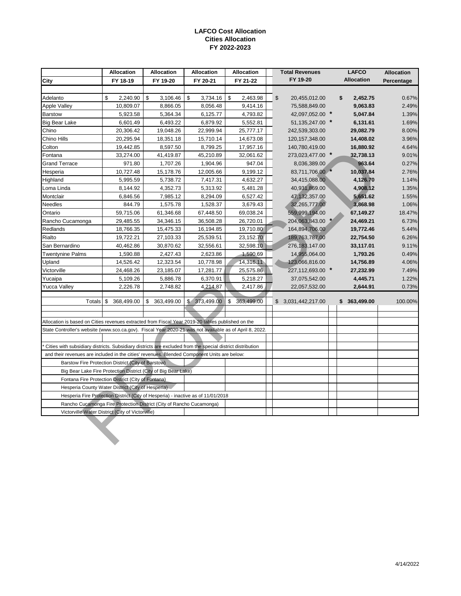## **LAFCO Cost Allocation Cities Allocation FY 2022-2023**

|                                                                                                            | Allocation                                       | <b>Allocation</b> | <b>Allocation</b> | <b>LAFCO</b><br><b>Allocation</b><br><b>Total Revenues</b> |  |                     |  |                   | <b>Allocation</b> |
|------------------------------------------------------------------------------------------------------------|--------------------------------------------------|-------------------|-------------------|------------------------------------------------------------|--|---------------------|--|-------------------|-------------------|
| City                                                                                                       | FY 18-19                                         | FY 19-20          | FY 20-21          | FY 21-22                                                   |  | FY 19-20            |  | <b>Allocation</b> | Percentage        |
|                                                                                                            |                                                  |                   |                   |                                                            |  |                     |  |                   |                   |
| Adelanto                                                                                                   | 2,240.90<br>\$                                   | \$<br>3,106.46    | \$<br>3,734.16    | \$<br>2,463.98                                             |  | \$<br>20,455,012.00 |  | 2,452.75<br>\$    | 0.67%             |
| Apple Valley                                                                                               | 10,809.07                                        | 8,866.05          | 8,056.48          | 9,414.16                                                   |  | 75,588,849.00       |  | 9,063.83          | 2.49%             |
| <b>Barstow</b>                                                                                             | 5,923.58                                         | 5,364.34          | 6,125.77          | 4,793.82                                                   |  | 42,097,052.00 *     |  | 5,047.84          | 1.39%             |
| <b>Big Bear Lake</b>                                                                                       | 6,601.49                                         | 6,493.22          | 6,879.92          | 5,552.81                                                   |  | 51, 135, 247.00 *   |  | 6,131.61          | 1.69%             |
| Chino                                                                                                      | 20,306.42                                        | 19,048.26         | 22,999.94         | 25,777.17                                                  |  | 242,539,303.00      |  | 29,082.79         | 8.00%             |
| Chino Hills                                                                                                | 20,295.94                                        | 18,351.18         | 15,710.14         | 14,673.08                                                  |  | 120, 157, 348.00    |  | 14,408.02         | 3.96%             |
| Colton                                                                                                     | 19,442.85                                        | 8,597.50          | 8,799.25          | 17,957.16                                                  |  | 140,780,419.00      |  | 16,880.92         | 4.64%             |
| Fontana                                                                                                    | 33,274.00                                        | 41,419.87         | 45,210.89         | 32,061.62                                                  |  | 273,023,477.00 *    |  | 32,738.13         | 9.01%             |
| <b>Grand Terrace</b>                                                                                       | 971.80                                           | 1,707.26          | 1,904.96          | 947.04                                                     |  | 8,036,389.00        |  | 963.64            | 0.27%             |
| Hesperia                                                                                                   | 10,727.48                                        | 15,178.76         | 12,005.66         | 9,199.12                                                   |  | 83,711,706.00       |  | 10,037.84         | 2.76%             |
| Highland                                                                                                   | 5,995.59                                         | 5,738.72          | 7,417.31          | 4,632.27                                                   |  | 34,415,088.00       |  | 4,126.70          | 1.14%             |
| Loma Linda                                                                                                 | 8,144.92                                         | 4,352.73          | 5,313.92          | 5,481.28                                                   |  | 40,931,869.00       |  | 4,908.12          | 1.35%             |
| Montclair                                                                                                  | 6,846.56                                         | 7,985.12          | 8,294.09          | 6,527.42                                                   |  | 47,132,357.00       |  | 5,651.62          | 1.55%             |
| <b>Needles</b>                                                                                             | 844.79                                           | 1,575.78          | 1,528.37          | 3,679.43                                                   |  | 32,265,777.00       |  | 3,868.98          | 1.06%             |
| Ontario                                                                                                    | 59,715.06                                        | 61,346.68         | 67,448.50         | 69,038.24                                                  |  | 559,999,194.00      |  | 67,149.27         | 18.47%            |
| Rancho Cucamonga                                                                                           | 29,485.55                                        | 34,346.15         | 36,508.28         | 26,720.01                                                  |  | 204,063,843.00 *    |  | 24,469.21         | 6.73%             |
| Redlands                                                                                                   | 18,766.35                                        | 15,475.33         | 16,194.85         | 19,710.80                                                  |  | 164,894,706.00      |  | 19,772.46         | 5.44%             |
| Rialto                                                                                                     | 19,722.21                                        | 27,103.33         | 25,539.51         | 23,152.70                                                  |  | 189,763,787.00      |  | 22,754.50         | 6.26%             |
| San Bernardino                                                                                             | 40,462.86                                        | 30,870.62         | 32,556.61         | 32,598.10                                                  |  | 276, 183, 147.00    |  | 33,117.01         | 9.11%             |
| <b>Twentynine Palms</b>                                                                                    | 1,590.88                                         | 2,427.43          | 2,623.86          | 1,590.69                                                   |  | 14,955,064.00       |  | 1,793.26          | 0.49%             |
| Upland                                                                                                     | 14,526.42                                        | 12,323.54         | 10,778.98         | 14,316.11                                                  |  | 123,066,816.00      |  | 14,756.89         | 4.06%             |
| Victorville                                                                                                | 24,468.26                                        | 23,185.07         | 17,281.77         | 25,575.86                                                  |  | 227,112,693.00 *    |  | 27,232.99         | 7.49%             |
| Yucaipa                                                                                                    | 5,109.26                                         | 5,886.78          | 6,370.91          | 5,218.27                                                   |  | 37,075,542.00       |  | 4,445.71          | 1.22%             |
| <b>Yucca Valley</b>                                                                                        | 2,226.78                                         | 2,748.82          | 4,214.87          | 2,417.86                                                   |  | 22,057,532.00       |  | 2,644.91          | 0.73%             |
|                                                                                                            |                                                  |                   |                   |                                                            |  |                     |  |                   |                   |
| Totals                                                                                                     | \$<br>368,499.00                                 | \$<br>363,499.00  | \$ 373,499.00     | \$<br>363.499.00                                           |  | \$3,031,442,217.00  |  | \$363,499.00      | 100.00%           |
|                                                                                                            |                                                  |                   |                   |                                                            |  |                     |  |                   |                   |
| Allocation is based on Cities revenues extracted from Fiscal Year 2019-20 tables published on the          |                                                  |                   |                   |                                                            |  |                     |  |                   |                   |
| State Controller's website (www.sco.ca.gov). Fiscal Year 2020-21 was not available as of April 8, 2022.    |                                                  |                   |                   |                                                            |  |                     |  |                   |                   |
|                                                                                                            |                                                  |                   |                   |                                                            |  |                     |  |                   |                   |
| Cities with subsidiary districts. Subsidiary districts are excluded from the special district distribution |                                                  |                   |                   |                                                            |  |                     |  |                   |                   |
| and their revenues are included in the cities' revenues. Blended Component Units are below:                |                                                  |                   |                   |                                                            |  |                     |  |                   |                   |
| Barstow Fire Protection District (City of Barstow)                                                         |                                                  |                   |                   |                                                            |  |                     |  |                   |                   |
| Big Bear Lake Fire Protection District (City of Big Bear Lake)                                             |                                                  |                   |                   |                                                            |  |                     |  |                   |                   |
| Fontana Fire Protection District (City of Fontana)                                                         |                                                  |                   |                   |                                                            |  |                     |  |                   |                   |
| Hesperia County Water District (City of Hesperia).                                                         |                                                  |                   |                   |                                                            |  |                     |  |                   |                   |
| Hesperia Fire Protection District (City of Hesperia) - inactive as of 11/01/2018                           |                                                  |                   |                   |                                                            |  |                     |  |                   |                   |
| Rancho Cucamonga Fire Protection District (City of Rancho Cucamonga)                                       |                                                  |                   |                   |                                                            |  |                     |  |                   |                   |
|                                                                                                            | Victorville Water District (City of Victorville) |                   |                   |                                                            |  |                     |  |                   |                   |
|                                                                                                            |                                                  |                   |                   |                                                            |  |                     |  |                   |                   |